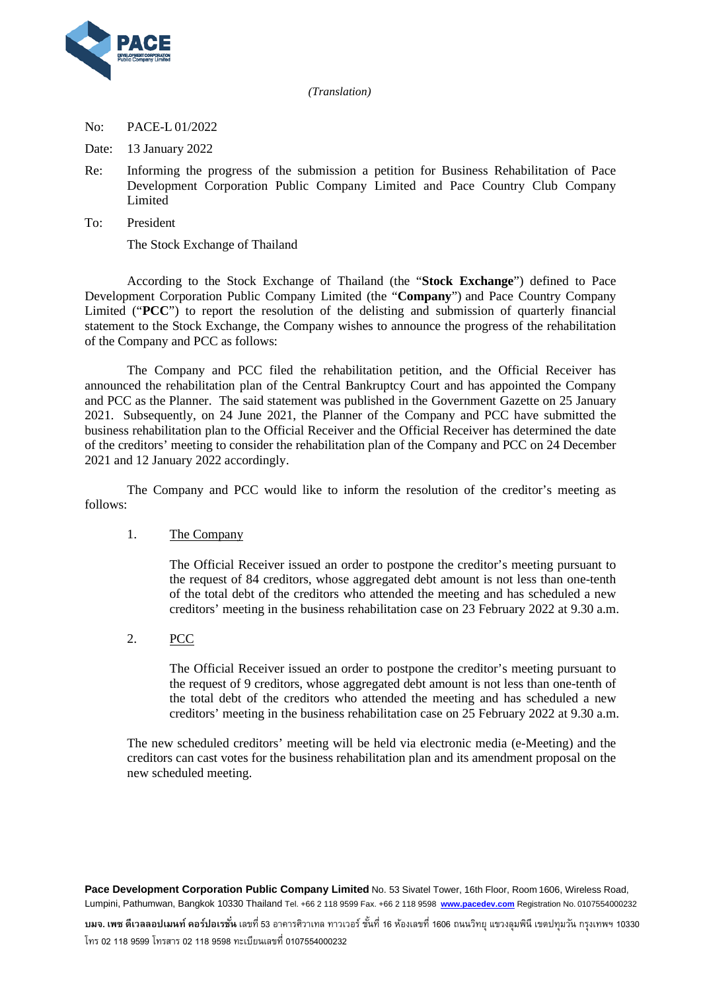



## No: PACE-L 01/2022

Date: 13 January 2022

- Re: Informing the progress of the submission a petition for Business Rehabilitation of Pace Development Corporation Public Company Limited and Pace Country Club Company **Limited**
- To: President

The Stock Exchange of Thailand

According to the Stock Exchange of Thailand (the "**Stock Exchange**") defined to Pace Development Corporation Public Company Limited (the "**Company**") and Pace Country Company Limited ("**PCC**") to report the resolution of the delisting and submission of quarterly financial statement to the Stock Exchange, the Company wishes to announce the progress of the rehabilitation of the Company and PCC as follows:

The Company and PCC filed the rehabilitation petition, and the Official Receiver has announced the rehabilitation plan of the Central Bankruptcy Court and has appointed the Company and PCC as the Planner. The said statement was published in the Government Gazette on 25 January 2021. Subsequently, on 24 June 2021, the Planner of the Company and PCC have submitted the business rehabilitation plan to the Official Receiver and the Official Receiver has determined the date of the creditors' meeting to consider the rehabilitation plan of the Company and PCC on 24 December 2021 and 12 January 2022 accordingly.

The Company and PCC would like to inform the resolution of the creditor's meeting as follows:

## 1. The Company

The Official Receiver issued an order to postpone the creditor's meeting pursuant to the request of 84 creditors, whose aggregated debt amount is not less than one-tenth of the total debt of the creditors who attended the meeting and has scheduled a new creditors' meeting in the business rehabilitation case on 23 February 2022 at 9.30 a.m.

2. PCC

The Official Receiver issued an order to postpone the creditor's meeting pursuant to the request of 9 creditors, whose aggregated debt amount is not less than one-tenth of the total debt of the creditors who attended the meeting and has scheduled a new creditors' meeting in the business rehabilitation case on 25 February 2022 at 9.30 a.m.

The new scheduled creditors' meeting will be held via electronic media (e-Meeting) and the creditors can cast votes for the business rehabilitation plan and its amendment proposal on the new scheduled meeting.

**Pace Development Corporation Public Company Limited** No. 53 Sivatel Tower, 16th Floor, Room 1606, Wireless Road, Lumpini, Pathumwan, Bangkok 10330 Thailand Tel. +66 2 118 9599 Fax. +66 2 118 9598 **[www.pacedev.com](http://www.pacedev.com/)** Registration No. 0107554000232

**บมจ. เพซ ดีเวลลอปเมนท์ คอร์ปอเรชั่น** เลขที่53 อาคารศิวาเทล ทาวเวอร์ ชั้นที่ 16 ห้องเลขที่ 1606 ถนนวิทยุ แขวงลุมพินี เขตปทุมวัน กรุงเทพฯ 10330 โทร 02 118 9599 โทรสาร 02 118 9598 ทะเบียนเลขที่ 0107554000232